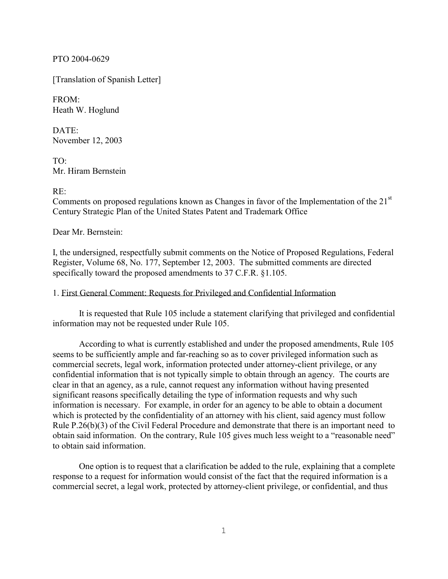PTO 2004-0629

[Translation of Spanish Letter]

FROM: Heath W. Hoglund

DATE: November 12, 2003

TO: Mr. Hiram Bernstein

## $RE^+$

Comments on proposed regulations known as Changes in favor of the Implementation of the 21<sup>st</sup> Century Strategic Plan of the United States Patent and Trademark Office

Dear Mr. Bernstein:

I, the undersigned, respectfully submit comments on the Notice of Proposed Regulations, Federal Register, Volume 68, No. 177, September 12, 2003. The submitted comments are directed specifically toward the proposed amendments to 37 C.F.R. §1.105.

1. First General Comment: Requests for Privileged and Confidential Information

It is requested that Rule 105 include a statement clarifying that privileged and confidential information may not be requested under Rule 105.

According to what is currently established and under the proposed amendments, Rule 105 seems to be sufficiently ample and far-reaching so as to cover privileged information such as commercial secrets, legal work, information protected under attorney-client privilege, or any confidential information that is not typically simple to obtain through an agency. The courts are clear in that an agency, as a rule, cannot request any information without having presented significant reasons specifically detailing the type of information requests and why such information is necessary. For example, in order for an agency to be able to obtain a document which is protected by the confidentiality of an attorney with his client, said agency must follow Rule P.26(b)(3) of the Civil Federal Procedure and demonstrate that there is an important need to obtain said information. On the contrary, Rule 105 gives much less weight to a "reasonable need" to obtain said information.

One option is to request that a clarification be added to the rule, explaining that a complete response to a request for information would consist of the fact that the required information is a commercial secret, a legal work, protected by attorney-client privilege, or confidential, and thus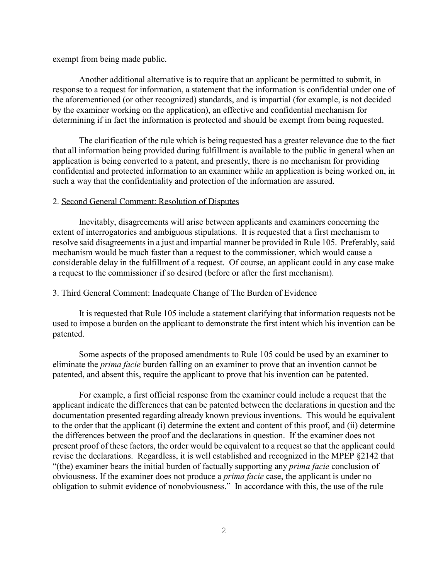exempt from being made public.

Another additional alternative is to require that an applicant be permitted to submit, in response to a request for information, a statement that the information is confidential under one of the aforementioned (or other recognized) standards, and is impartial (for example, is not decided by the examiner working on the application), an effective and confidential mechanism for determining if in fact the information is protected and should be exempt from being requested.

The clarification of the rule which is being requested has a greater relevance due to the fact that all information being provided during fulfillment is available to the public in general when an application is being converted to a patent, and presently, there is no mechanism for providing confidential and protected information to an examiner while an application is being worked on, in such a way that the confidentiality and protection of the information are assured.

# 2. Second General Comment: Resolution of Disputes

Inevitably, disagreements will arise between applicants and examiners concerning the extent of interrogatories and ambiguous stipulations. It is requested that a first mechanism to resolve said disagreements in a just and impartial manner be provided in Rule 105. Preferably, said mechanism would be much faster than a request to the commissioner, which would cause a considerable delay in the fulfillment of a request. Of course, an applicant could in any case make a request to the commissioner if so desired (before or after the first mechanism).

#### 3. Third General Comment: Inadequate Change of The Burden of Evidence

It is requested that Rule 105 include a statement clarifying that information requests not be used to impose a burden on the applicant to demonstrate the first intent which his invention can be patented.

Some aspects of the proposed amendments to Rule 105 could be used by an examiner to eliminate the *prima facie* burden falling on an examiner to prove that an invention cannot be patented, and absent this, require the applicant to prove that his invention can be patented.

For example, a first official response from the examiner could include a request that the applicant indicate the differences that can be patented between the declarations in question and the documentation presented regarding already known previous inventions. This would be equivalent to the order that the applicant (i) determine the extent and content of this proof, and (ii) determine the differences between the proof and the declarations in question. If the examiner does not present proof of these factors, the order would be equivalent to a request so that the applicant could revise the declarations. Regardless, it is well established and recognized in the MPEP §2142 that "(the) examiner bears the initial burden of factually supporting any *prima facie* conclusion of obviousness. If the examiner does not produce a *prima facie* case, the applicant is under no obligation to submit evidence of nonobviousness." In accordance with this, the use of the rule